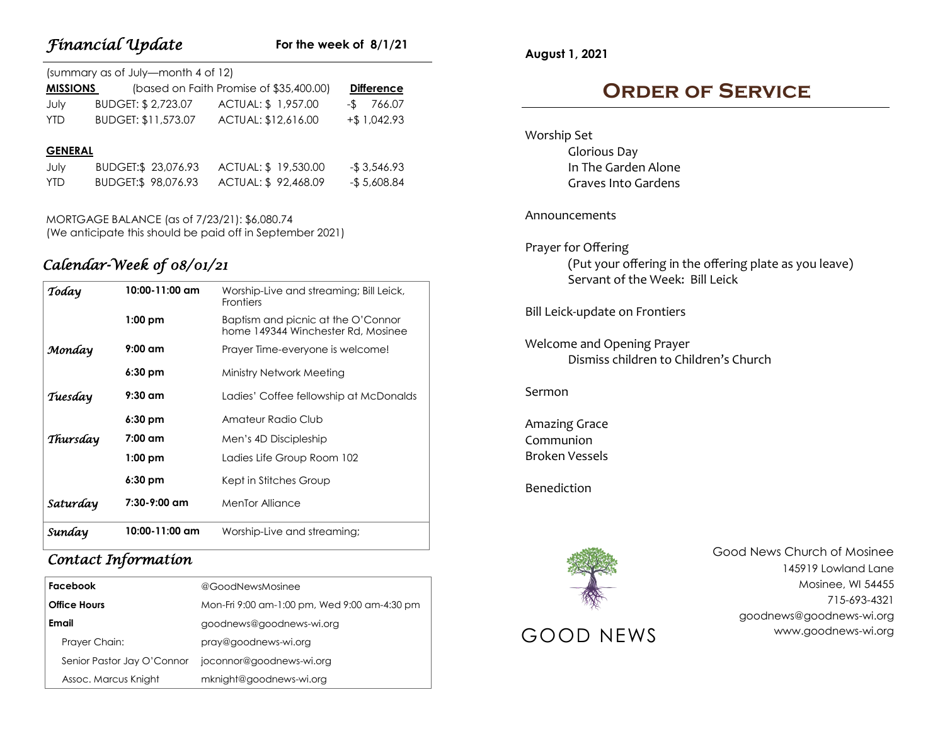# *Financial Update*

## **For the week of 8/1/21**

| (summary as of July—month 4 of 12) |                     |                                         |                   |  |  |
|------------------------------------|---------------------|-----------------------------------------|-------------------|--|--|
| <b>MISSIONS</b>                    |                     | (based on Faith Promise of \$35,400.00) | <b>Difference</b> |  |  |
| July                               | BUDGET: \$2,723.07  | ACTUAL: \$ 1,957.00                     | $-$ \$766.07      |  |  |
| <b>YTD</b>                         | BUDGET: \$11,573.07 | ACTUAL: \$12,616.00                     | $+$ \$ 1,042.93   |  |  |
|                                    |                     |                                         |                   |  |  |
|                                    |                     |                                         |                   |  |  |

#### **GENERAL**

| July | BUDGET:\$ 23,076.93 | ACTUAL: \$19,530.00 | -\$3,546.93  |
|------|---------------------|---------------------|--------------|
| YTD  | BUDGET:\$ 98,076.93 | ACTUAL: \$92,468.09 | -\$ 5,608.84 |

MORTGAGE BALANCE (as of 7/23/21): \$6,080.74 (We anticipate this should be paid off in September 2021)

# *Calendar-Week of 08/01/21*

| Today    | $10:00 - 11:00$ am | Worship-Live and streaming; Bill Leick,<br><b>Frontiers</b>              |
|----------|--------------------|--------------------------------------------------------------------------|
|          | $1:00$ pm          | Baptism and picnic at the O'Connor<br>home 149344 Winchester Rd. Mosinee |
| Monday   | $9:00 \text{ cm}$  | Prayer Time-everyone is welcome!                                         |
|          | $6:30$ pm          | Ministry Network Meeting                                                 |
| Tuesday  | $9:30$ am          | Ladies' Coffee fellowship at McDonalds                                   |
|          | $6:30$ pm          | Amateur Radio Club                                                       |
| Thursday | 7:00 am            | Men's 4D Discipleship                                                    |
|          | $1:00$ pm          | Ladies Life Group Room 102                                               |
|          | 6:30 pm            | Kept in Stitches Group                                                   |
| Saturday | 7:30-9:00 am       | <b>MenTor Alliance</b>                                                   |
| Sunday   | $10:00 - 11:00$ am | Worship-Live and streaming;                                              |

# *Contact Information*

| Facebook                   | @GoodNewsMosinee                             |
|----------------------------|----------------------------------------------|
| <b>Office Hours</b>        | Mon-Fri 9:00 am-1:00 pm, Wed 9:00 am-4:30 pm |
| Email                      | goodnews@goodnews-wi.org                     |
| Prayer Chain:              | pray@goodnews-wi.org                         |
| Senior Pastor Jay O'Connor | joconnor@goodnews-wi.org                     |
| Assoc. Marcus Knight       | mknight@goodnews-wi.org                      |

**August 1, 2021**

# **Order of Service**

Worship Set Glorious Day In The Garden Alone Graves Into Gardens

### Announcements

## Prayer for Offering

(Put your offering in the offering plate as you leave) Servant of the Week: Bill Leick

Bill Leick-update on Frontiers

Welcome and Opening Prayer Dismiss children to Children's Church

### Sermon

Amazing Grace Communion Broken Vessels

Benediction



Good News Church of Mosinee 145919 Lowland Lane Mosinee, WI 54455 715-693-4321 goodnews@goodnews-wi.org GOOD NEWS www.goodnews-wi.org